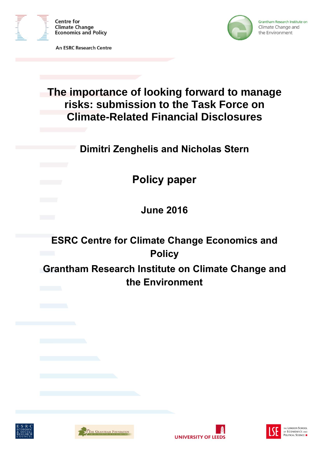

**An ESRC Research Centre** 



# **The importance of looking forward to manage risks: submission to the Task Force on Climate-Related Financial Disclosures**

**Dimitri Zenghelis and Nicholas Stern**

**Policy paper**

**June 2016**

**ESRC Centre for Climate Change Economics and Policy Grantham Research Institute on Climate Change and** 

**the Environment**







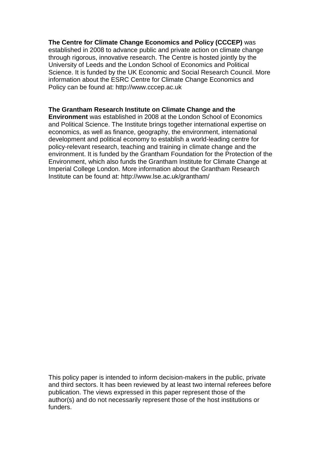# **The Centre for Climate Change Economics and Policy (CCCEP)** was

established in 2008 to advance public and private action on climate change through rigorous, innovative research. The Centre is hosted jointly by the University of Leeds and the London School of Economics and Political Science. It is funded by the UK Economic and Social Research Council. More information about the ESRC Centre for Climate Change Economics and Policy can be found at: http://www.cccep.ac.uk

# **The Grantham Research Institute on Climate Change and the**

**Environment** was established in 2008 at the London School of Economics and Political Science. The Institute brings together international expertise on economics, as well as finance, geography, the environment, international development and political economy to establish a world-leading centre for policy-relevant research, teaching and training in climate change and the environment. It is funded by the Grantham Foundation for the Protection of the Environment, which also funds the Grantham Institute for Climate Change at Imperial College London. More information about the Grantham Research Institute can be found at: http://www.lse.ac.uk/grantham/

This policy paper is intended to inform decision-makers in the public, private and third sectors. It has been reviewed by at least two internal referees before publication. The views expressed in this paper represent those of the author(s) and do not necessarily represent those of the host institutions or funders.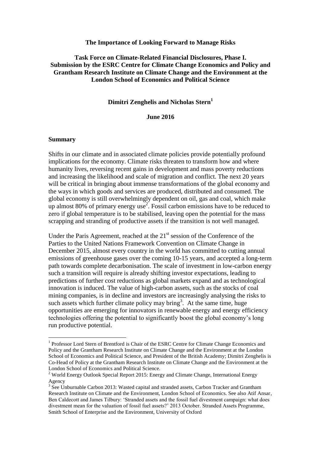#### **The Importance of Looking Forward to Manage Risks**

# **Task Force on Climate-Related Financial Disclosures, Phase I. Submission by the ESRC Centre for Climate Change Economics and Policy and Grantham Research Institute on Climate Change and the Environment at the London School of Economics and Political Science**

## **Dimitri Zenghelis and Nicholas Stern<sup>1</sup>**

## **June 2016**

#### **Summary**

 $\overline{a}$ 

Shifts in our climate and in associated climate policies provide potentially profound implications for the economy. Climate risks threaten to transform how and where humanity lives, reversing recent gains in development and mass poverty reductions and increasing the likelihood and scale of migration and conflict. The next 20 years will be critical in bringing about immense transformations of the global economy and the ways in which goods and services are produced, distributed and consumed. The global economy is still overwhelmingly dependent on oil, gas and coal, which make up almost 80% of primary energy use<sup>2</sup>. Fossil carbon emissions have to be reduced to zero if global temperature is to be stabilised, leaving open the potential for the mass scrapping and stranding of productive assets if the transition is not well managed.

Under the Paris Agreement, reached at the  $21<sup>st</sup>$  session of the Conference of the Parties to the United Nations Framework Convention on Climate Change in December 2015, almost every country in the world has committed to cutting annual emissions of greenhouse gases over the coming 10-15 years, and accepted a long-term path towards complete decarbonisation. The scale of investment in low-carbon energy such a transition will require is already shifting investor expectations, leading to predictions of further cost reductions as global markets expand and as technological innovation is induced. The value of high-carbon assets, such as the stocks of coal mining companies, is in decline and investors are increasingly analysing the risks to such assets which further climate policy may bring<sup>3</sup>. At the same time, huge opportunities are emerging for innovators in renewable energy and energy efficiency technologies offering the potential to significantly boost the global economy's long run productive potential.

<sup>&</sup>lt;sup>1</sup> Professor Lord Stern of Brentford is Chair of the ESRC Centre for Climate Change Economics and Policy and the Grantham Research Institute on Climate Change and the Environment at the London School of Economics and Political Science, and President of the British Academy; Dimitri Zenghelis is Co-Head of Policy at the Grantham Research Institute on Climate Change and the Environment at the London School of Economics and Political Science.

<sup>&</sup>lt;sup>2</sup> World Energy Outlook Special Report 2015: Energy and Climate Change, International Energy Agency

 $3$  See Unburnable Carbon 2013: Wasted capital and stranded assets, Carbon Tracker and Grantham Research Institute on Climate and the Environment, London School of Economics. See also Atif Ansar, Ben Caldecott and James Tilbury: 'Stranded assets and the fossil fuel divestment campaign: what does divestment mean for the valuation of fossil fuel assets?' 2013 October. Stranded Assets Programme, Smith School of Enterprise and the Environment, University of Oxford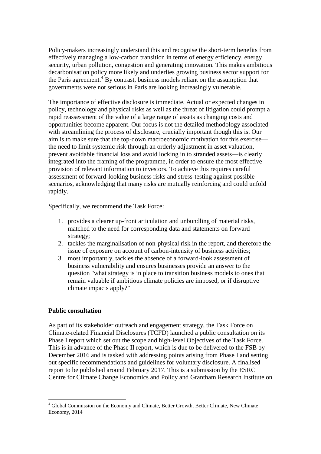Policy-makers increasingly understand this and recognise the short-term benefits from effectively managing a low-carbon transition in terms of energy efficiency, energy security, urban pollution, congestion and generating innovation. This makes ambitious decarbonisation policy more likely and underlies growing business sector support for the Paris agreement.<sup>4</sup> By contrast, business models reliant on the assumption that governments were not serious in Paris are looking increasingly vulnerable.

The importance of effective disclosure is immediate. Actual or expected changes in policy, technology and physical risks as well as the threat of litigation could prompt a rapid reassessment of the value of a large range of assets as changing costs and opportunities become apparent. Our focus is not the detailed methodology associated with streamlining the process of disclosure, crucially important though this is. Our aim is to make sure that the top-down macroeconomic motivation for this exercise the need to limit systemic risk through an orderly adjustment in asset valuation, prevent avoidable financial loss and avoid locking in to stranded assets—is clearly integrated into the framing of the programme, in order to ensure the most effective provision of relevant information to investors. To achieve this requires careful assessment of forward-looking business risks and stress-testing against possible scenarios, acknowledging that many risks are mutually reinforcing and could unfold rapidly.

Specifically, we recommend the Task Force:

- 1. provides a clearer up-front articulation and unbundling of material risks, matched to the need for corresponding data and statements on forward strategy;
- 2. tackles the marginalisation of non-physical risk in the report, and therefore the issue of exposure on account of carbon-intensity of business activities;
- 3. most importantly, tackles the absence of a forward-look assessment of business vulnerability and ensures businesses provide an answer to the question "what strategy is in place to transition business models to ones that remain valuable if ambitious climate policies are imposed, or if disruptive climate impacts apply?"

# **Public consultation**

As part of its stakeholder outreach and engagement strategy, the Task Force on Climate-related Financial Disclosures (TCFD) launched a public consultation on its Phase I report which set out the scope and high-level Objectives of the Task Force. This is in advance of the Phase II report, which is due to be delivered to the FSB by December 2016 and is tasked with addressing points arising from Phase I and setting out specific recommendations and guidelines for voluntary disclosure. A finalised report to be published around February 2017. This is a submission by the ESRC Centre for Climate Change Economics and Policy and Grantham Research Institute on

 $\overline{a}$ <sup>4</sup> Global Commission on the Economy and Climate, Better Growth, Better Climate, New Climate Economy, 2014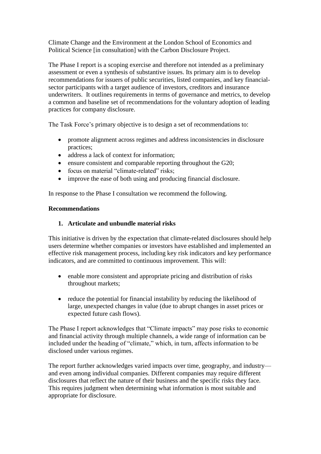Climate Change and the Environment at the London School of Economics and Political Science [in consultation] with the Carbon Disclosure Project.

The Phase I report is a scoping exercise and therefore not intended as a preliminary assessment or even a synthesis of substantive issues. Its primary aim is to develop recommendations for issuers of public securities, listed companies, and key financialsector participants with a target audience of investors, creditors and insurance underwriters. It outlines requirements in terms of governance and metrics, to develop a common and baseline set of recommendations for the voluntary adoption of leading practices for company disclosure.

The Task Force's primary objective is to design a set of recommendations to:

- promote alignment across regimes and address inconsistencies in disclosure practices;
- address a lack of context for information;
- ensure consistent and comparable reporting throughout the G20;
- focus on material "climate-related" risks;
- improve the ease of both using and producing financial disclosure.

In response to the Phase I consultation we recommend the following.

# **Recommendations**

# **1. Articulate and unbundle material risks**

This initiative is driven by the expectation that climate-related disclosures should help users determine whether companies or investors have established and implemented an effective risk management process, including key risk indicators and key performance indicators, and are committed to continuous improvement. This will:

- enable more consistent and appropriate pricing and distribution of risks throughout markets;
- reduce the potential for financial instability by reducing the likelihood of large, unexpected changes in value (due to abrupt changes in asset prices or expected future cash flows).

The Phase I report acknowledges that "Climate impacts" may pose risks to economic and financial activity through multiple channels, a wide range of information can be included under the heading of "climate," which, in turn, affects information to be disclosed under various regimes.

The report further acknowledges varied impacts over time, geography, and industry and even among individual companies. Different companies may require different disclosures that reflect the nature of their business and the specific risks they face. This requires judgment when determining what information is most suitable and appropriate for disclosure.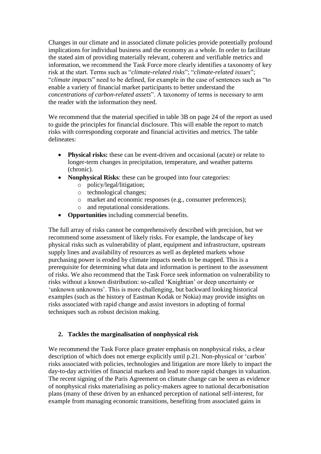Changes in our climate and in associated climate policies provide potentially profound implications for individual business and the economy as a whole. In order to facilitate the stated aim of providing materially relevant, coherent and verifiable metrics and information, we recommend the Task Force more clearly identifies a taxonomy of key risk at the start. Terms such as "*climate-related risks*"; "*climate-related issues*"; "*climate impacts*" need to be defined, for example in the case of sentences such as "to enable a variety of financial market participants to better understand the *concentrations of carbon-related assets*". A taxonomy of terms is necessary to arm the reader with the information they need.

We recommend that the material specified in table 3B on page 24 of the report as used to guide the principles for financial disclosure. This will enable the report to match risks with corresponding corporate and financial activities and metrics. The table delineates:

- Physical risks: these can be event-driven and occasional (acute) or relate to longer-term changes in precipitation, temperature, and weather patterns (chronic).
- **Nonphysical Risks**: these can be grouped into four categories:
	- o policy/legal/litigation;
	- o technological changes;
	- o market and economic responses (e.g., consumer preferences);
	- o and reputational considerations.
- **Opportunities** including commercial benefits.

The full array of risks cannot be comprehensively described with precision, but we recommend some assessment of likely risks. For example, the landscape of key physical risks such as vulnerability of plant, equipment and infrastructure, upstream supply lines and availability of resources as well as depleted markets whose purchasing power is eroded by climate impacts needs to be mapped. This is a prerequisite for determining what data and information is pertinent to the assessment of risks. We also recommend that the Task Force seek information on vulnerability to risks without a known distribution: so-called 'Knightian' or deep uncertainty or 'unknown unknowns'. This is more challenging, but backward looking historical examples (such as the history of Eastman Kodak or Nokia) may provide insights on risks associated with rapid change and assist investors in adopting of formal techniques such as robust decision making.

# **2. Tackles the marginalisation of nonphysical risk**

We recommend the Task Force place greater emphasis on nonphysical risks, a clear description of which does not emerge explicitly until p.21. Non-physical or 'carbon' risks associated with policies, technologies and litigation are more likely to impact the day-to-day activities of financial markets and lead to more rapid changes in valuation. The recent signing of the Paris Agreement on climate change can be seen as evidence of nonphysical risks materialising as policy-makers agree to national decarbonisation plans (many of these driven by an enhanced perception of national self-interest, for example from managing economic transitions, benefiting from associated gains in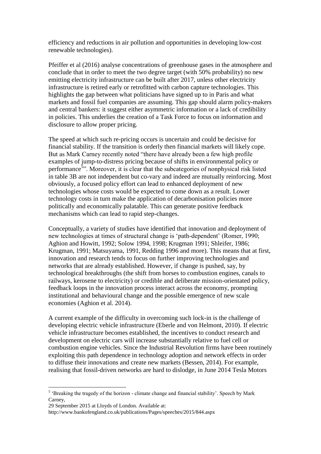efficiency and reductions in air pollution and opportunities in developing low-cost renewable technologies).

Pfeiffer et al (2016) analyse concentrations of greenhouse gases in the atmosphere and conclude that in order to meet the two degree target (with 50% probability) no new emitting electricity infrastructure can be built after 2017, unless other electricity infrastructure is retired early or retrofitted with carbon capture technologies. This highlights the gap between what politicians have signed up to in Paris and what markets and fossil fuel companies are assuming. This gap should alarm policy-makers and central bankers: it suggest either asymmetric information or a lack of credibility in policies. This underlies the creation of a Task Force to focus on information and disclosure to allow proper pricing.

The speed at which such re-pricing occurs is uncertain and could be decisive for financial stability. If the transition is orderly then financial markets will likely cope. But as Mark Carney recently noted "there have already been a few high profile examples of jump-to-distress pricing because of shifts in environmental policy or performance<sup>5</sup><sup>35</sup>. Moreover, it is clear that the subcategories of nonphysical risk listed in table 3B are not independent but co-vary and indeed are mutually reinforcing. Most obviously, a focused policy effort can lead to enhanced deployment of new technologies whose costs would be expected to come down as a result. Lower technology costs in turn make the application of decarbonisation policies more politically and economically palatable. This can generate positive feedback mechanisms which can lead to rapid step-changes.

Conceptually, a variety of studies have identified that innovation and deployment of new technologies at times of structural change is 'path-dependent' (Romer, 1990; Aghion and Howitt, 1992; Solow 1994, 1998; Krugman 1991; Shleifer, 1986; Krugman, 1991; Matsuyama, 1991, Redding 1996 and more). This means that at first, innovation and research tends to focus on further improving technologies and networks that are already established. However, if change is pushed, say, by technological breakthroughs (the shift from horses to combustion engines, canals to railways, kerosene to electricity) or credible and deliberate mission-orientated policy, feedback loops in the innovation process interact across the economy, prompting institutional and behavioural change and the possible emergence of new scale economies (Aghion et al. 2014).

A current example of the difficulty in overcoming such lock-in is the challenge of developing electric vehicle infrastructure (Eberle and von Helmont, 2010). If electric vehicle infrastructure becomes established, the incentives to conduct research and development on electric cars will increase substantially relative to fuel cell or combustion engine vehicles. Since the Industrial Revolution firms have been routinely exploiting this path dependence in technology adoption and network effects in order to diffuse their innovations and create new markets (Bessen, 2014). For example, realising that fossil-driven networks are hard to dislodge, in June 2014 Tesla Motors

 $\overline{a}$ 

<sup>&</sup>lt;sup>5</sup> 'Breaking the tragedy of the horizon - climate change and financial stability'. Speech by Mark Carney,

<sup>29</sup> September 2015 at Lloyds of London. Available at:

http://www.bankofengland.co.uk/publications/Pages/speeches/2015/844.aspx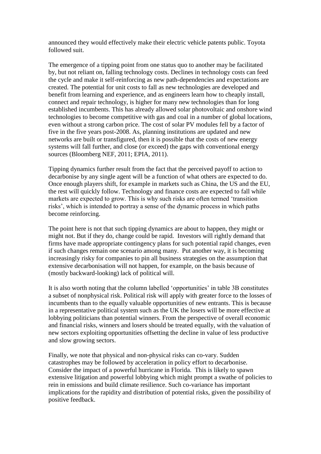announced they would effectively make their electric vehicle patents public. Toyota followed suit.

The emergence of a tipping point from one status quo to another may be facilitated by, but not reliant on, falling technology costs. Declines in technology costs can feed the cycle and make it self-reinforcing as new path-dependencies and expectations are created. The potential for unit costs to fall as new technologies are developed and benefit from learning and experience, and as engineers learn how to cheaply install, connect and repair technology, is higher for many new technologies than for long established incumbents. This has already allowed solar photovoltaic and onshore wind technologies to become competitive with gas and coal in a number of global locations, even without a strong carbon price. The cost of solar PV modules fell by a factor of five in the five years post-2008. As, planning institutions are updated and new networks are built or transfigured, then it is possible that the costs of new energy systems will fall further, and close (or exceed) the gaps with conventional energy sources (Bloomberg NEF, 2011; EPIA, 2011).

Tipping dynamics further result from the fact that the perceived payoff to action to decarbonise by any single agent will be a function of what others are expected to do. Once enough players shift, for example in markets such as China, the US and the EU, the rest will quickly follow. Technology and finance costs are expected to fall while markets are expected to grow. This is why such risks are often termed 'transition risks', which is intended to portray a sense of the dynamic process in which paths become reinforcing.

The point here is not that such tipping dynamics are about to happen, they might or might not. But if they do, change could be rapid. Investors will rightly demand that firms have made appropriate contingency plans for such potential rapid changes, even if such changes remain one scenario among many. Put another way, it is becoming increasingly risky for companies to pin all business strategies on the assumption that extensive decarbonisation will not happen, for example, on the basis because of (mostly backward-looking) lack of political will.

It is also worth noting that the column labelled 'opportunities' in table 3B constitutes a subset of nonphysical risk. Political risk will apply with greater force to the losses of incumbents than to the equally valuable opportunities of new entrants. This is because in a representative political system such as the UK the losers will be more effective at lobbying politicians than potential winners. From the perspective of overall economic and financial risks, winners and losers should be treated equally, with the valuation of new sectors exploiting opportunities offsetting the decline in value of less productive and slow growing sectors.

Finally, we note that physical and non-physical risks can co-vary. Sudden catastrophes may be followed by acceleration in policy effort to decarbonise. Consider the impact of a powerful hurricane in Florida. This is likely to spawn extensive litigation and powerful lobbying which might prompt a swathe of policies to rein in emissions and build climate resilience. Such co-variance has important implications for the rapidity and distribution of potential risks, given the possibility of positive feedback.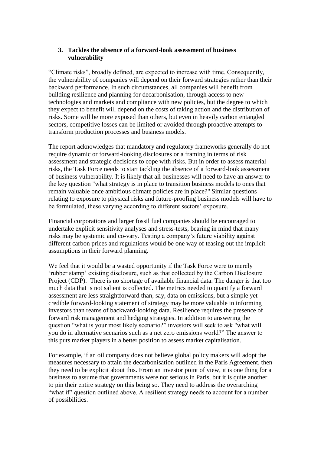# **3. Tackles the absence of a forward-look assessment of business vulnerability**

"Climate risks", broadly defined, are expected to increase with time. Consequently, the vulnerability of companies will depend on their forward strategies rather than their backward performance. In such circumstances, all companies will benefit from building resilience and planning for decarbonisation, through access to new technologies and markets and compliance with new policies, but the degree to which they expect to benefit will depend on the costs of taking action and the distribution of risks. Some will be more exposed than others, but even in heavily carbon entangled sectors, competitive losses can be limited or avoided through proactive attempts to transform production processes and business models.

The report acknowledges that mandatory and regulatory frameworks generally do not require dynamic or forward-looking disclosures or a framing in terms of risk assessment and strategic decisions to cope with risks. But in order to assess material risks, the Task Force needs to start tackling the absence of a forward-look assessment of business vulnerability. It is likely that all businesses will need to have an answer to the key question "what strategy is in place to transition business models to ones that remain valuable once ambitious climate policies are in place?" Similar questions relating to exposure to physical risks and future-proofing business models will have to be formulated, these varying according to different sectors' exposure.

Financial corporations and larger fossil fuel companies should be encouraged to undertake explicit sensitivity analyses and stress-tests, bearing in mind that many risks may be systemic and co-vary. Testing a company's future viability against different carbon prices and regulations would be one way of teasing out the implicit assumptions in their forward planning.

We feel that it would be a wasted opportunity if the Task Force were to merely 'rubber stamp' existing disclosure, such as that collected by the Carbon Disclosure Project (CDP). There is no shortage of available financial data. The danger is that too much data that is not salient is collected. The metrics needed to quantify a forward assessment are less straightforward than, say, data on emissions, but a simple yet credible forward-looking statement of strategy may be more valuable in informing investors than reams of backward-looking data. Resilience requires the presence of forward risk management and hedging strategies. In addition to answering the question "what is your most likely scenario?" investors will seek to ask "what will you do in alternative scenarios such as a net zero emissions world?" The answer to this puts market players in a better position to assess market capitalisation.

For example, if an oil company does not believe global policy makers will adopt the measures necessary to attain the decarbonisation outlined in the Paris Agreement, then they need to be explicit about this. From an investor point of view, it is one thing for a business to assume that governments were not serious in Paris, but it is quite another to pin their entire strategy on this being so. They need to address the overarching "what if" question outlined above. A resilient strategy needs to account for a number of possibilities.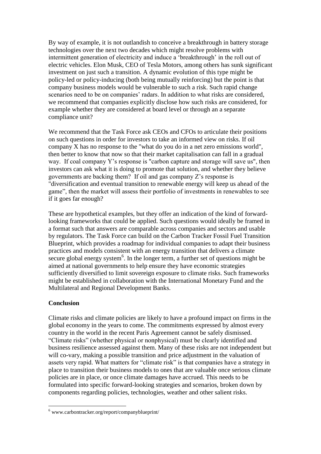By way of example, it is not outlandish to conceive a breakthrough in battery storage technologies over the next two decades which might resolve problems with intermittent generation of electricity and induce a 'breakthrough' in the roll out of electric vehicles. Elon Musk, CEO of Tesla Motors, among others has sunk significant investment on just such a transition. A dynamic evolution of this type might be policy-led or policy-inducing (both being mutually reinforcing) but the point is that company business models would be vulnerable to such a risk. Such rapid change scenarios need to be on companies' radars. In addition to what risks are considered, we recommend that companies explicitly disclose how such risks are considered, for example whether they are considered at board level or through an a separate compliance unit?

We recommend that the Task Force ask CEOs and CFOs to articulate their positions on such questions in order for investors to take an informed view on risks. If oil company X has no response to the "what do you do in a net zero emissions world", then better to know that now so that their market capitalisation can fall in a gradual way. If coal company Y's response is "carbon capture and storage will save us", then investors can ask what it is doing to promote that solution, and whether they believe governments are backing them? If oil and gas company Z's response is "diversification and eventual transition to renewable energy will keep us ahead of the game", then the market will assess their portfolio of investments in renewables to see if it goes far enough?

These are hypothetical examples, but they offer an indication of the kind of forwardlooking frameworks that could be applied. Such questions would ideally be framed in a format such that answers are comparable across companies and sectors and usable by regulators. The Task Force can build on the Carbon Tracker Fossil Fuel Transition Blueprint, which provides a roadmap for individual companies to adapt their business practices and models consistent with an energy transition that delivers a climate secure global energy system $6$ . In the longer term, a further set of questions might be aimed at national governments to help ensure they have economic strategies sufficiently diversified to limit sovereign exposure to climate risks. Such frameworks might be established in collaboration with the International Monetary Fund and the Multilateral and Regional Development Banks.

# **Conclusion**

 $\overline{a}$ 

Climate risks and climate policies are likely to have a profound impact on firms in the global economy in the years to come. The commitments expressed by almost every country in the world in the recent Paris Agreement cannot be safely dismissed. "Climate risks" (whether physical or nonphysical) must be clearly identified and business resilience assessed against them. Many of these risks are not independent but will co-vary, making a possible transition and price adjustment in the valuation of assets very rapid. What matters for "climate risk" is that companies have a strategy in place to transition their business models to ones that are valuable once serious climate policies are in place, or once climate damages have accrued. This needs to be formulated into specific forward-looking strategies and scenarios, broken down by components regarding policies, technologies, weather and other salient risks.

 $6$  www.carbontracker.org/report/companyblueprint/